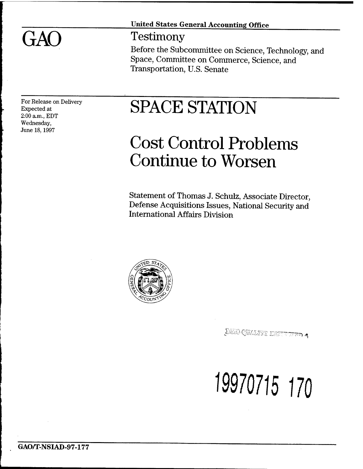GAO

## **United States General Accounting Office**

## Testimony

Before the Subcommittee on Science, Technology, and Space, Committee on Commerce, Science, and Transportation, U.S. Senate

For Release on Delivery Expected at 2:00 am., EDT Wednesday, June 18,1997

# SPACE STATION

## Cost Control Problems Continue to Worsen

Statement of Thomas J. Schulz, Associate Director, Defense Acquisitions Issues, National Security and International Affairs Division



c <-wA; *K^-^c^c-'r.* ^v ^ <sup>5</sup>f,\_,",;" "TTTTn *^T)* **4j**

<sup>19970715</sup> *m*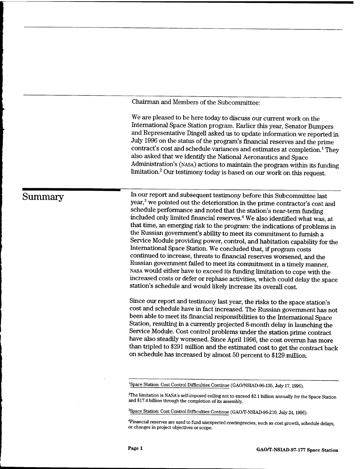Chairman and Members of the Subcommittee:

We are pleased to be here today to discuss our current work on the International Space Station program. Earlier this year, Senator Bumpers and Representative Dingell asked us to update information we reported in July 1996 on the status of the program's financial reserves and the prime contract's cost and schedule variances and estimates at completion.<sup>1</sup> They also asked that we identify the National Aeronautics and Space Administration's (NASA) actions to maintain the program within its funding limitation.<sup>2</sup> Our testimony today is based on our work on this request.

## **Summary** ^

In our report and subsequent testimony before this Subcommittee last year,<sup>3</sup> we pointed out the deterioration in the prime contractor's cost and schedule performance and noted that the station's near-term funding included only limited financial reserves.<sup>4</sup> We also identified what was, at that time, an emerging risk to the program: the indications of problems in the Russian government's ability to meet its commitment to furnish a Service Module providing power, control, and habitation capability for the International Space Station. We concluded that, if program costs continued to increase, threats to financial reserves worsened, and the Russian government failed to meet its commitment in a timely manner, NASA would either have to exceed its funding limitation to cope with the increased costs or defer or rephase activities, which could delay the space station's schedule and would likely increase its overall cost.

Since our report and testimony last year, the risks to the space station's cost and schedule have in fact increased. The Russian government has not been able to meet its financial responsibilities to the International Space Station, resulting in a currently projected 8-month delay in launching the Service Module. Cost control problems under the station prime contract have also steadily worsened. Since April 1996, the cost overrun has more than tripled to \$291 million and the estimated cost to get the contract back on schedule has increased by almost 50 percent to \$129 million.

'Space Station: Cost Control Difficulties Continue (GAO/NSIAD-96-135, July 17,1996).

-The limitation is NASA's self-imposed ceiling not to exceed \$2.1 billion annually for the Space Station and \$17.4 billion through the completion of its assembly.

3 Space Station: Cost Control Difficulties Continue (GAO/T-NSIAD-96-210, July 24,1996).

<sup>4</sup>Financial reserves are used to fund unexpected contingencies, such as cost growth, schedule delays, or changes in project objectives orscope.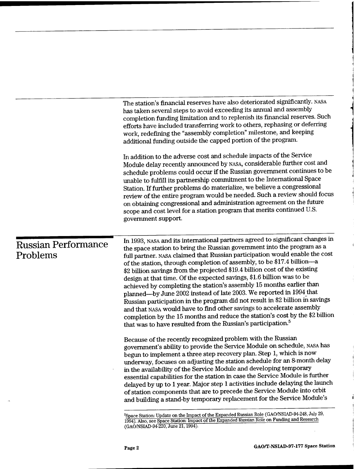|                                        | The station's financial reserves have also deteriorated significantly. NASA<br>has taken several steps to avoid exceeding its annual and assembly<br>completion funding limitation and to replenish its financial reserves. Such<br>efforts have included transferring work to others, rephasing or deferring<br>work, redefining the "assembly completion" milestone, and keeping<br>additional funding outside the capped portion of the program.                                                                                                                                                                                                                                                                                                                                                                                                                                                                                           |
|----------------------------------------|-----------------------------------------------------------------------------------------------------------------------------------------------------------------------------------------------------------------------------------------------------------------------------------------------------------------------------------------------------------------------------------------------------------------------------------------------------------------------------------------------------------------------------------------------------------------------------------------------------------------------------------------------------------------------------------------------------------------------------------------------------------------------------------------------------------------------------------------------------------------------------------------------------------------------------------------------|
|                                        | In addition to the adverse cost and schedule impacts of the Service<br>Module delay recently announced by NASA, considerable further cost and<br>schedule problems could occur if the Russian government continues to be<br>unable to fulfill its partnership commitment to the International Space<br>Station. If further problems do materialize, we believe a congressional<br>review of the entire program would be needed. Such a review should focus<br>on obtaining congressional and administration agreement on the future<br>scope and cost level for a station program that merits continued U.S.<br>government support.                                                                                                                                                                                                                                                                                                           |
| <b>Russian Performance</b><br>Problems | In 1993, NASA and its international partners agreed to significant changes in<br>the space station to bring the Russian government into the program as a<br>full partner. NASA claimed that Russian participation would enable the cost<br>of the station, through completion of assembly, to be \$17.4 billion-a<br>\$2 billion savings from the projected \$19.4 billion cost of the existing<br>design at that time. Of the expected savings, \$1.6 billion was to be<br>achieved by completing the station's assembly 15 months earlier than<br>planned—by June 2002 instead of late 2003. We reported in 1994 that<br>Russian participation in the program did not result in \$2 billion in savings<br>and that NASA would have to find other savings to accelerate assembly<br>completion by the 15 months and reduce the station's cost by the \$2 billion<br>that was to have resulted from the Russian's participation. <sup>5</sup> |
|                                        | Because of the recently recognized problem with the Russian<br>government's ability to provide the Service Module on schedule, NASA has<br>begun to implement a three step recovery plan. Step 1, which is now<br>underway, focuses on adjusting the station schedule for an 8-month delay<br>in the availability of the Service Module and developing temporary<br>essential capabilities for the station in case the Service Module is further<br>delayed by up to 1 year. Major step 1 activities include delaying the launch<br>of station components that are to precede the Service Module into orbit<br>and building a stand-by temporary replacement for the Service Module's                                                                                                                                                                                                                                                         |
|                                        | <sup>5</sup> Space Station: Update on the Impact of the Expanded Russian Role (GAO/NSIAD-94-248, July 29,<br>1994). Also, see Space Station: Impact of the Expanded Russian Role on Funding and Research                                                                                                                                                                                                                                                                                                                                                                                                                                                                                                                                                                                                                                                                                                                                      |

(GAO/NSIAD-94-220, June 21,1994).

 $\epsilon$  $\hat{A}$ 

> ÷.  $\frac{1}{2}$

 $\alpha$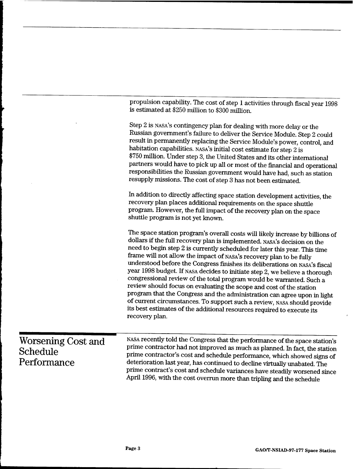|                                               | propulsion capability. The cost of step 1 activities through fiscal year 1998<br>is estimated at \$250 million to \$300 million.                                                                                                                                                                                                                                                                                                                                                                                                                                                                                                                                                                                                                                                                                                                                              |
|-----------------------------------------------|-------------------------------------------------------------------------------------------------------------------------------------------------------------------------------------------------------------------------------------------------------------------------------------------------------------------------------------------------------------------------------------------------------------------------------------------------------------------------------------------------------------------------------------------------------------------------------------------------------------------------------------------------------------------------------------------------------------------------------------------------------------------------------------------------------------------------------------------------------------------------------|
|                                               | Step 2 is NASA's contingency plan for dealing with more delay or the<br>Russian government's failure to deliver the Service Module. Step 2 could<br>result in permanently replacing the Service Module's power, control, and<br>habitation capabilities. NASA's initial cost estimate for step 2 is<br>\$750 million. Under step 3, the United States and its other international<br>partners would have to pick up all or most of the financial and operational<br>responsibilities the Russian government would have had, such as station<br>resupply missions. The cost of step 3 has not been estimated.                                                                                                                                                                                                                                                                  |
|                                               | In addition to directly affecting space station development activities, the<br>recovery plan places additional requirements on the space shuttle<br>program. However, the full impact of the recovery plan on the space<br>shuttle program is not yet known.                                                                                                                                                                                                                                                                                                                                                                                                                                                                                                                                                                                                                  |
|                                               | The space station program's overall costs will likely increase by billions of<br>dollars if the full recovery plan is implemented. NASA's decision on the<br>need to begin step 2 is currently scheduled for later this year. This time<br>frame will not allow the impact of NASA's recovery plan to be fully<br>understood before the Congress finishes its deliberations on NASA's fiscal<br>year 1998 budget. If NASA decides to initiate step 2, we believe a thorough<br>congressional review of the total program would be warranted. Such a<br>review should focus on evaluating the scope and cost of the station<br>program that the Congress and the administration can agree upon in light<br>of current circumstances. To support such a review, NASA should provide<br>its best estimates of the additional resources required to execute its<br>recovery plan. |
| Worsening Cost and<br>Schedule<br>Performance | NASA recently told the Congress that the performance of the space station's<br>prime contractor had not improved as much as planned. In fact, the station<br>prime contractor's cost and schedule performance, which showed signs of<br>deterioration last year, has continued to decline virtually unabated. The<br>prime contract's cost and schedule variances have steadily worsened since<br>April 1996, with the cost overrun more than tripling and the schedule                                                                                                                                                                                                                                                                                                                                                                                                       |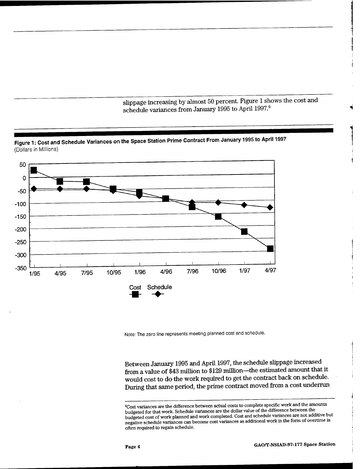slippage increasing by almost 50 percent. Figure <sup>1</sup> shows the cost and schedule variances from January 1995 to April 1997.<sup>6</sup>



Note: The zero line represents meeting planned cost and schedule.

Between January 1995 and April 1997, the schedule slippage increased from a value of \$43 million to \$129 million—the estimated amount that it would cost to do the work required to get the contract back on schedule. During that same period, the prime contract moved from a cost underrun

<sup>6</sup>Cost variances are the difference between actual costs to complete specific work and the amounts budgeted for that work. Schedule variances are the dollar value of the difference between the budgeted cost of work planned and work completed. Cost and schedule variances are not additive but negative schedule variances can become cost variances as additional work in the form of overtime is often required to regain schedule.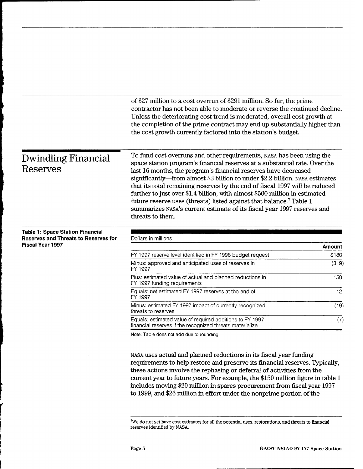|                                                                                        | of \$27 million to a cost overrun of \$291 million. So far, the prime<br>contractor has not been able to moderate or reverse the continued decline.<br>Unless the deteriorating cost trend is moderated, overall cost growth at<br>the completion of the prime contract may end up substantially higher than<br>the cost growth currently factored into the station's budget.                                                                                                                                                                                                                                                                         |        |
|----------------------------------------------------------------------------------------|-------------------------------------------------------------------------------------------------------------------------------------------------------------------------------------------------------------------------------------------------------------------------------------------------------------------------------------------------------------------------------------------------------------------------------------------------------------------------------------------------------------------------------------------------------------------------------------------------------------------------------------------------------|--------|
| <b>Dwindling Financial</b><br><b>Reserves</b>                                          | To fund cost overruns and other requirements, NASA has been using the<br>space station program's financial reserves at a substantial rate. Over the<br>last 16 months, the program's financial reserves have decreased<br>significantly—from almost \$3 billion to under \$2.2 billion. NASA estimates<br>that its total remaining reserves by the end of fiscal 1997 will be reduced<br>further to just over \$1.4 billion, with almost \$500 million in estimated<br>future reserve uses (threats) listed against that balance. <sup>7</sup> Table 1<br>summarizes NASA's current estimate of its fiscal year 1997 reserves and<br>threats to them. |        |
| <b>Table 1: Space Station Financial</b><br><b>Reserves and Threats to Reserves for</b> | Dollars in millions                                                                                                                                                                                                                                                                                                                                                                                                                                                                                                                                                                                                                                   |        |
| <b>Fiscal Year 1997</b>                                                                |                                                                                                                                                                                                                                                                                                                                                                                                                                                                                                                                                                                                                                                       | Amount |
|                                                                                        | FY 1997 reserve level identified in FY 1998 budget request                                                                                                                                                                                                                                                                                                                                                                                                                                                                                                                                                                                            | \$180  |
|                                                                                        | Minus: approved and anticipated uses of reserves in<br>FY 1997                                                                                                                                                                                                                                                                                                                                                                                                                                                                                                                                                                                        | (319)  |
|                                                                                        | Plus: estimated value of actual and planned reductions in<br>FY 1997 funding requirements                                                                                                                                                                                                                                                                                                                                                                                                                                                                                                                                                             | 150    |
|                                                                                        | Equals: net estimated FY 1997 reserves at the end of<br>FY 1997                                                                                                                                                                                                                                                                                                                                                                                                                                                                                                                                                                                       | 12     |
|                                                                                        | Minus: estimated FY 1997 impact of currently recognized<br>threats to reserves                                                                                                                                                                                                                                                                                                                                                                                                                                                                                                                                                                        | (19)   |
|                                                                                        | Equals: estimated value of required additions to FY 1997<br>financial reserves if the recognized threats materialize                                                                                                                                                                                                                                                                                                                                                                                                                                                                                                                                  | (7)    |
|                                                                                        | Note: Table does not add due to rounding.                                                                                                                                                                                                                                                                                                                                                                                                                                                                                                                                                                                                             |        |

NASA uses actual and planned reductions in its fiscal year funding requirements to help restore and preserve its financial reserves. Typically, these actions involve the rephasing or deferral of activities from the current year to future years. For example, the \$150 million figure in table <sup>1</sup> includes moving \$20 million in spares procurement from fiscal year 1997 to 1999, and \$26 million in effort under the nonprime portion of the

 $^7\!W\!e$  do not yet have cost estimates for all the potential uses, restorations, and threats to financial reserves identified by NASA.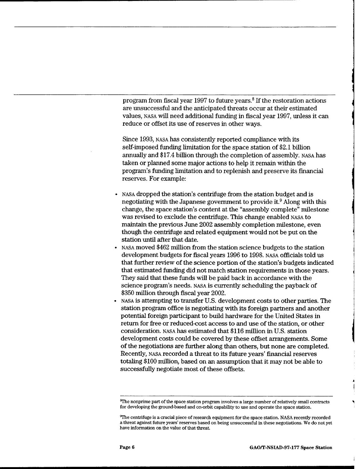program from fiscal year 1997 to future years.<sup>8</sup> If the restoration actions are unsuccessful and the anticipated threats occur at their estimated values, NASA will need additional funding in fiscal year 1997, unless it can reduce or offset its use of reserves in other ways.

Since 1993, NASA has consistently reported compliance with its self-imposed funding limitation for the space station of \$2.1 billion annually and \$17.4 billion through the completion of assembly, NASA has taken or planned some major actions to help it remain within the program's funding limitation and to replenish and preserve its financial reserves. For example:

- NASA dropped the station's centrifuge from the station budget and is negotiating with the Japanese government to provide it.<sup>9</sup> Along with this change, the space station's content at the "assembly complete" milestone was revised to exclude the centrifuge. This change enabled NASA to maintain the previous June 2002 assembly completion milestone, even though the centrifuge and related equipment would not be put on the station until after that date.
- NASA moved \$462 million from the station science budgets to the station development budgets for fiscal years 1996 to 1998. NASA officials told us that further review of the science portion of the station's budgets indicated that estimated funding did not match station requirements in those years. They said that these funds will be paid back in accordance with the science program's needs, NASA is currently scheduling the payback of \$350 million through fiscal year 2002.
- NASA is attempting to transfer U.S. development costs to other parties. The station program office is negotiating with its foreign partners and another potential foreign participant to build hardware for the United States in return for free or reduced-cost access to and use of the station, or other consideration, NASA has estimated that \$116 million in U.S. station development costs could be covered by these offset arrangements. Some of the negotiations are further along than others, but none are completed. Recently, NASA recorded a threat to its future years' financial reserves totaling \$100 million, based on an assumption that it may not be able to successfully negotiate most of these offsets.

 $8$ The nonprime part of the space station program involves a large number of relatively small contracts for developing the ground-based and on-orbit capability to use and operate the space station.

<sup>&</sup>quot;The centrifuge is a crucial piece ofresearch equipment for the space station. NASA recently recorded a threat against future years' reserves based on being unsuccessful in these negotiations. We do not yet have information on the value of that threat.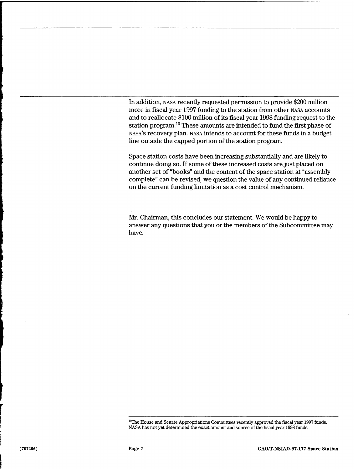In addition, NASA recently requested permission to provide \$200 million more in fiscal year 1997 funding to the station from other NASA accounts and to reallocate \$100 million of its fiscal year 1998 funding request to the station program.<sup>10</sup> These amounts are intended to fund the first phase of NASA'S recovery plan, NASA intends to account for these funds in a budget line outside the capped portion of the station program.

Space station costs have been increasing substantially and are likely to continue doing so. If some of these increased costs are just placed on another set of "books" and the content of the space station at "assembly complete" can be revised, we question the value of any continued reliance on the current funding limitation as a cost control mechanism.

Mr. Chairman, this concludes our statement. We would be happy to answer any questions that you or the members of the Subcommittee may have.

<sup>&</sup>lt;sup>10</sup>The House and Senate Appropriations Committees recently approved the fiscal year 1997 funds. NASA has not yet determined the exact amount and source of the fiscal year 1998 funds.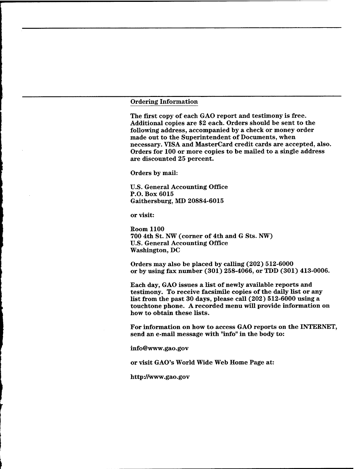#### Ordering Information

The first copy of each GAO report and testimony is free. Additional copies are \$2 each. Orders should be sent to the following address, accompanied by a check or money order made out to the Superintendent of Documents, when necessary. VISA and MasterCard credit cards are accepted, also. Orders for 100 or more copies to be mailed to a single address are discounted 25 percent.

Orders by mail:

U.S. General Accounting Office P.O. Box 6015 Gaithersburg, MD 20884-6015

or visit:

Room 1100 700 4th St. NW (corner of 4th and G Sts. NW) U.S. General Accounting Office Washington, DC

Orders may also be placed by calling (202) 512-6000 or by using fax number (301) 258-4066, or TDD (301) 413-0006.

Each day, GAO issues a list of newly available reports and testimony. To receive facsimile copies of the daily list or any list from the past 30 days, please call (202) 512-6000 using a touchtone phone. A recorded menu will provide information on how to obtain these lists.

For information on how to access GAO reports on the INTERNET, send an e-mail message with "info" in the body to:

info@www.gao.gov

or visit GAO's World Wide Web Home Page at:

http://www.gao.gov